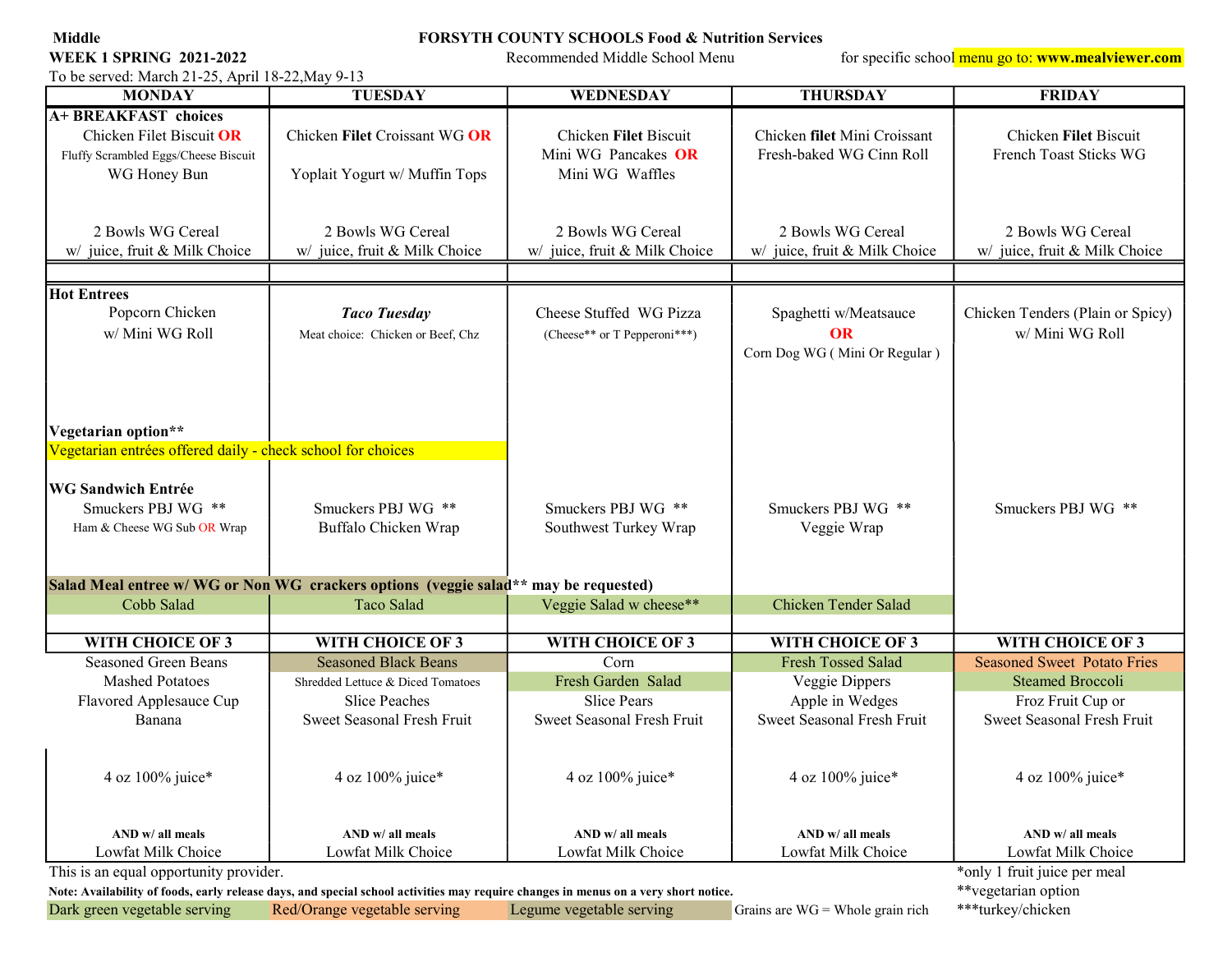## Middle FORSYTH COUNTY SCHOOLS Food & Nutrition Services

WEEK 1 SPRING 2021-2022 Recommended Middle School Menu for specific school menu go to: www.mealviewer.com

To be served: March 21-25, April 18-22,May 9-13

| <b>MONDAY</b>                                                                                                                                              | <b>TUESDAY</b>                                                                      | WEDNESDAY                                                       | <b>THURSDAY</b>                                                     | <b>FRIDAY</b>                                       |  |  |
|------------------------------------------------------------------------------------------------------------------------------------------------------------|-------------------------------------------------------------------------------------|-----------------------------------------------------------------|---------------------------------------------------------------------|-----------------------------------------------------|--|--|
| A+ BREAKFAST choices<br>Chicken Filet Biscuit OR<br>Fluffy Scrambled Eggs/Cheese Biscuit<br>WG Honey Bun                                                   | Chicken Filet Croissant WG OR<br>Yoplait Yogurt w/ Muffin Tops                      | Chicken Filet Biscuit<br>Mini WG Pancakes OR<br>Mini WG Waffles | Chicken filet Mini Croissant<br>Fresh-baked WG Cinn Roll            | Chicken Filet Biscuit<br>French Toast Sticks WG     |  |  |
| 2 Bowls WG Cereal<br>w/ juice, fruit & Milk Choice                                                                                                         | 2 Bowls WG Cereal<br>w/ juice, fruit & Milk Choice                                  | 2 Bowls WG Cereal<br>w/ juice, fruit & Milk Choice              | 2 Bowls WG Cereal<br>w/ juice, fruit & Milk Choice                  | 2 Bowls WG Cereal<br>w/ juice, fruit & Milk Choice  |  |  |
| <b>Hot Entrees</b><br>Popcorn Chicken<br>w/ Mini WG Roll                                                                                                   | <b>Taco Tuesday</b><br>Meat choice: Chicken or Beef, Chz                            | Cheese Stuffed WG Pizza<br>(Cheese** or T Pepperoni***)         | Spaghetti w/Meatsauce<br><b>OR</b><br>Corn Dog WG (Mini Or Regular) | Chicken Tenders (Plain or Spicy)<br>w/ Mini WG Roll |  |  |
| Vegetarian option**<br>Vegetarian entrées offered daily - check school for choices                                                                         |                                                                                     |                                                                 |                                                                     |                                                     |  |  |
| <b>WG Sandwich Entrée</b><br>Smuckers PBJ WG **<br>Ham & Cheese WG Sub OR Wrap                                                                             | Smuckers PBJ WG **<br>Buffalo Chicken Wrap                                          | Smuckers PBJ WG **<br>Southwest Turkey Wrap                     | Smuckers PBJ WG **<br>Veggie Wrap                                   | Smuckers PBJ WG **                                  |  |  |
|                                                                                                                                                            | Salad Meal entree w/WG or Non WG crackers options (veggie salad** may be requested) |                                                                 |                                                                     |                                                     |  |  |
| Cobb Salad                                                                                                                                                 | Taco Salad                                                                          | Veggie Salad w cheese**                                         | Chicken Tender Salad                                                |                                                     |  |  |
|                                                                                                                                                            |                                                                                     |                                                                 |                                                                     |                                                     |  |  |
| WITH CHOICE OF 3                                                                                                                                           | WITH CHOICE OF 3                                                                    | WITH CHOICE OF 3                                                | WITH CHOICE OF 3                                                    | WITH CHOICE OF 3                                    |  |  |
| <b>Seasoned Green Beans</b>                                                                                                                                | <b>Seasoned Black Beans</b>                                                         | Corn                                                            | Fresh Tossed Salad                                                  | <b>Seasoned Sweet Potato Fries</b>                  |  |  |
| <b>Mashed Potatoes</b>                                                                                                                                     | Shredded Lettuce & Diced Tomatoes                                                   | Fresh Garden Salad                                              | Veggie Dippers                                                      | <b>Steamed Broccoli</b>                             |  |  |
| Flavored Applesauce Cup                                                                                                                                    | <b>Slice Peaches</b>                                                                | <b>Slice Pears</b>                                              | Apple in Wedges                                                     | Froz Fruit Cup or                                   |  |  |
| Banana                                                                                                                                                     | Sweet Seasonal Fresh Fruit                                                          | Sweet Seasonal Fresh Fruit                                      | Sweet Seasonal Fresh Fruit                                          | Sweet Seasonal Fresh Fruit                          |  |  |
| 4 oz 100% juice*                                                                                                                                           | 4 oz 100% juice*                                                                    | 4 oz 100% juice*                                                | 4 oz 100% juice*                                                    | 4 oz 100% juice*                                    |  |  |
| AND w/ all meals                                                                                                                                           | AND w/ all meals                                                                    | AND w/ all meals                                                | AND w/ all meals                                                    | AND w/ all meals                                    |  |  |
| Lowfat Milk Choice                                                                                                                                         | Lowfat Milk Choice                                                                  | Lowfat Milk Choice                                              | Lowfat Milk Choice                                                  | Lowfat Milk Choice                                  |  |  |
| This is an equal opportunity provider.                                                                                                                     |                                                                                     |                                                                 |                                                                     | *only 1 fruit juice per meal                        |  |  |
| **vegetarian option<br>Note: Availability of foods, early release days, and special school activities may require changes in menus on a very short notice. |                                                                                     |                                                                 |                                                                     |                                                     |  |  |
| Dark green vegetable serving                                                                                                                               | Red/Orange vegetable serving                                                        | Legume vegetable serving                                        | Grains are $WG = Whole$ grain rich                                  | ***turkey/chicken                                   |  |  |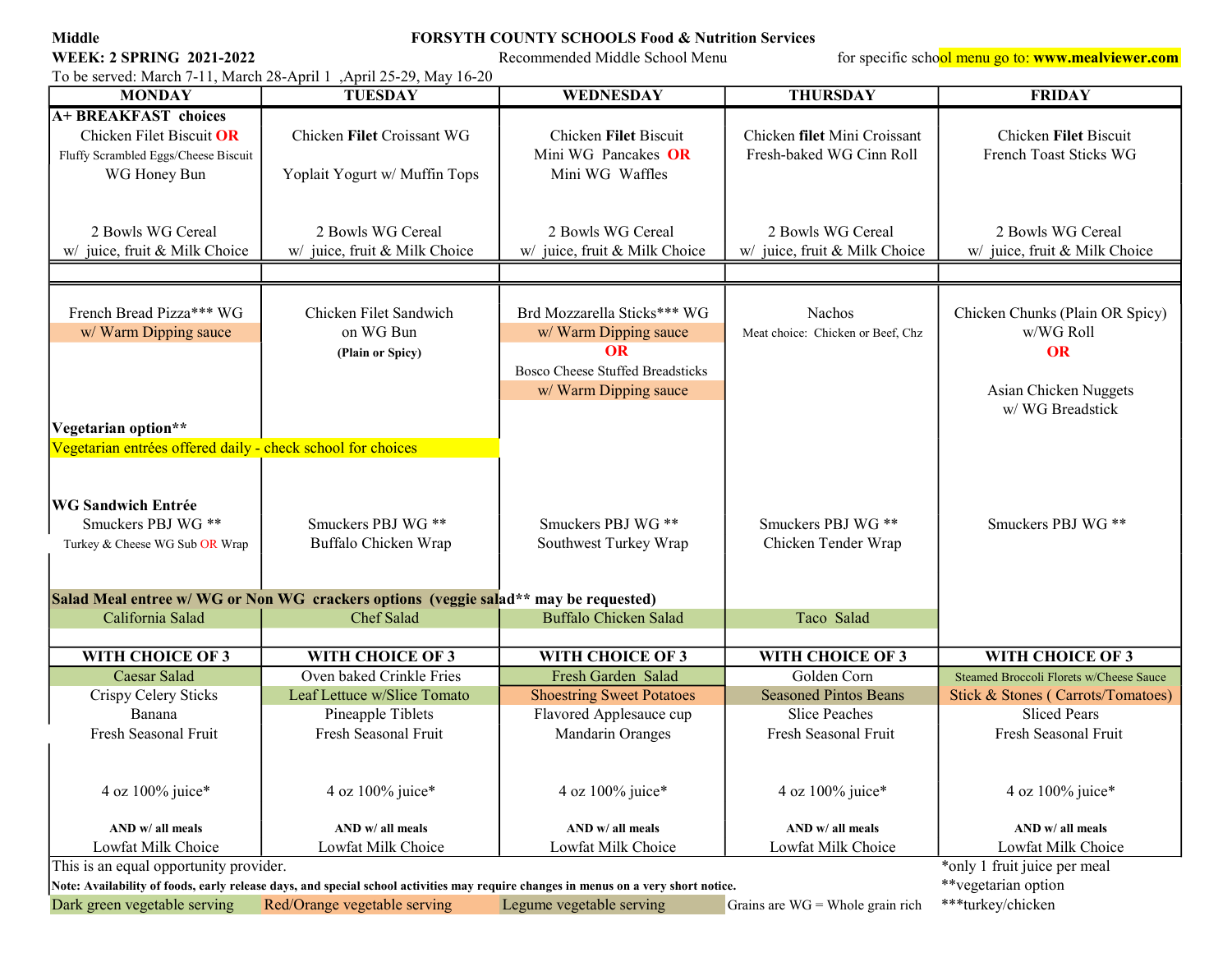# Middle FORSYTH COUNTY SCHOOLS Food & Nutrition Services

WEEK: 2 SPRING 2021-2022 Recommended Middle School Menu for specific school menu go to: www.mealviewer.com

To be served: March 7-11, March 28-April 1 ,April 25-29, May 16-20<br>MONDAY TUESDAY WEDNESDAY | THURSDAY | FRIDAY A+ BREAKFAST choices WG Honey Bun | Yoplait Yogurt w/ Muffin Tops | Mini WG Waffles